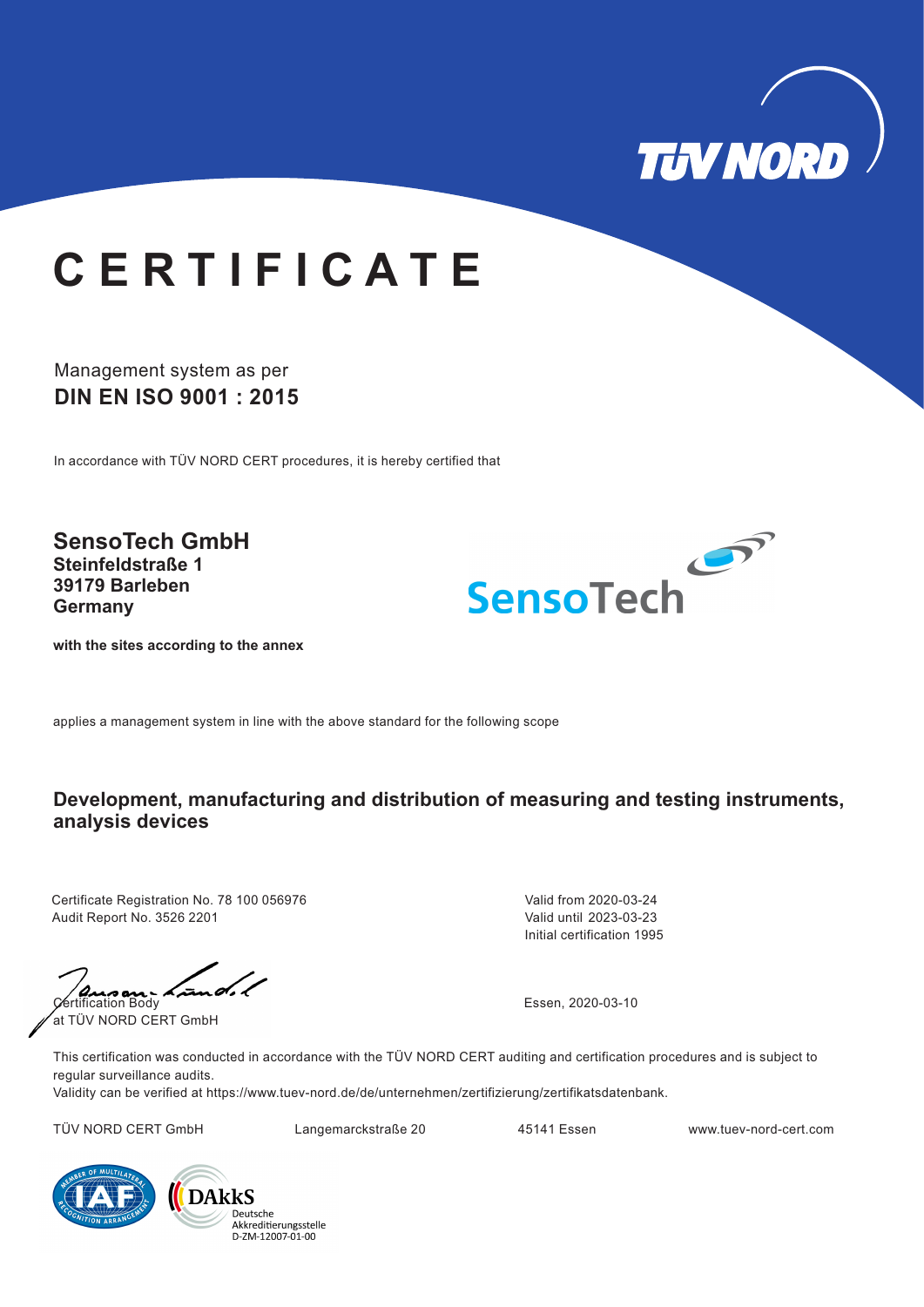ausan-Lund. Certification Body at TÜV NORD CERT GmbH

This certification was conducted in accordance with the TÜV NORD CERT auditing and certification procedures and is subject to regular surveillance audits.

Validity can be verified at https://www.tuev-nord.de/de/unternehmen/zertifizierung/zertifikatsdatenbank.

TÜV NORD CERT GmbH Langemarckstraße 20 45141 Essen www.tuev-nord-cert.com



Deutsche Akkreditierungsstelle D-ZM-12007-01-00

applies a management system in line with the above standard for the following scope

#### **Development, manufacturing and distribution of measuring and testing instruments, analysis devices**

### Management system as per **DIN EN ISO 9001 : 2015**

In accordance with TÜV NORD CERT procedures, it is hereby certified that



# **C E R T I F I C A T E**

Certificate Registration No. 78 100 056976 Audit Report No. 3526 2201

 $\diagup$ 

Initial certification 1995 Valid from 2020-03-24 Valid until 2023-03-23

Essen, 2020-03-10

**SensoTech GmbH Steinfeldstraße 1 39179 Barleben Germany**



**with the sites according to the annex**